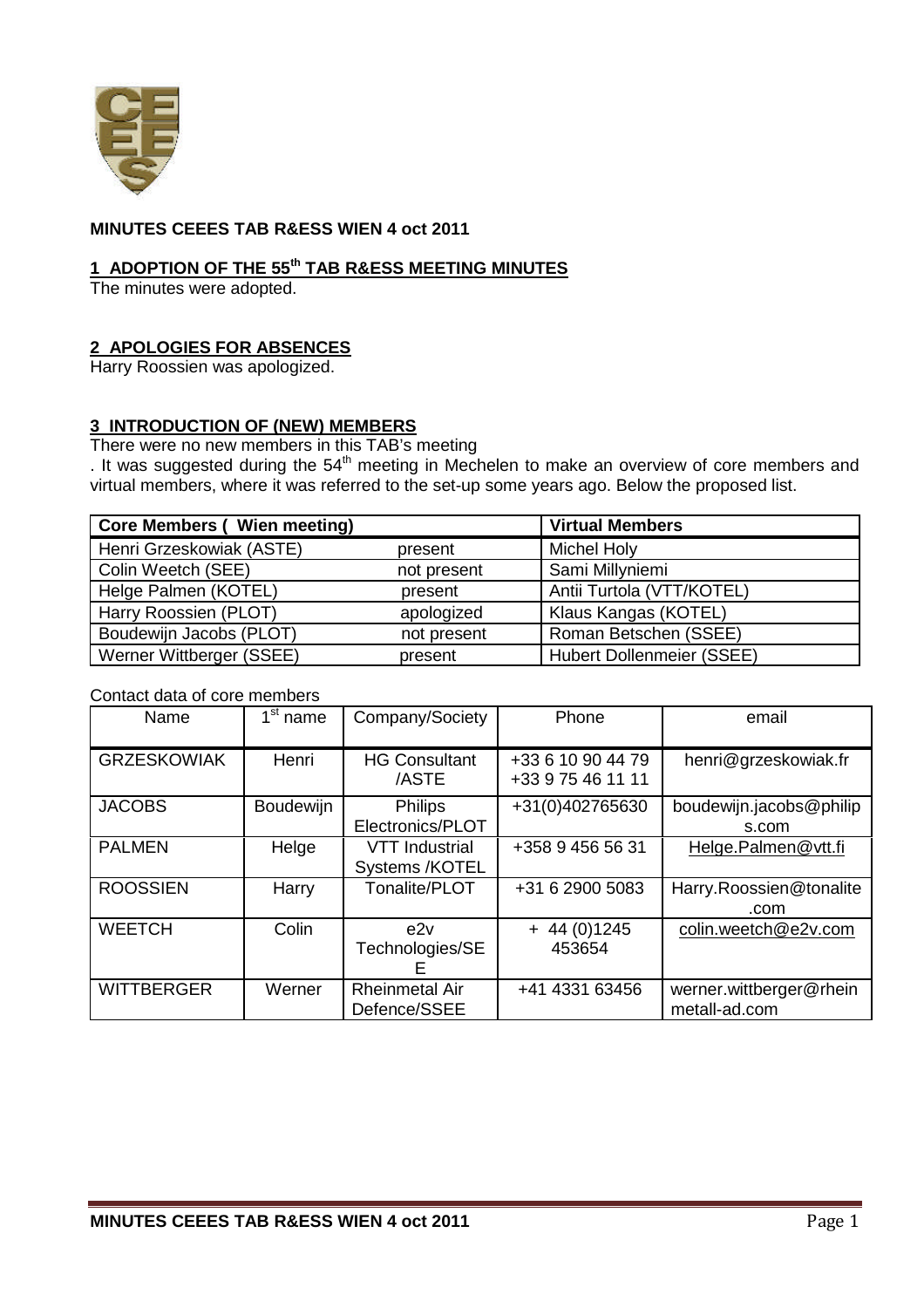

## **MINUTES CEEES TAB R&ESS WIEN 4 oct 2011**

### **1 ADOPTION OF THE 55th TAB R&ESS MEETING MINUTES**

The minutes were adopted.

## **2 APOLOGIES FOR ABSENCES**

Harry Roossien was apologized.

# **3 INTRODUCTION OF (NEW) MEMBERS**

There were no new members in this TAB's meeting

. It was suggested during the  $54<sup>th</sup>$  meeting in Mechelen to make an overview of core members and virtual members, where it was referred to the set-up some years ago. Below the proposed list.

| <b>Core Members (Wien meeting)</b> | <b>Virtual Members</b> |                                  |
|------------------------------------|------------------------|----------------------------------|
| Henri Grzeskowiak (ASTE)           | present                | <b>Michel Holy</b>               |
| Colin Weetch (SEE)                 | not present            | Sami Millyniemi                  |
| Helge Palmen (KOTEL)               | present                | Antii Turtola (VTT/KOTEL)        |
| Harry Roossien (PLOT)              | apologized             | Klaus Kangas (KOTEL)             |
| Boudewijn Jacobs (PLOT)            | not present            | Roman Betschen (SSEE)            |
| Werner Wittberger (SSEE)           | present                | <b>Hubert Dollenmeier (SSEE)</b> |

#### Contact data of core members

| Name               | $\overline{1}^{\rm st}$ name | Company/Society                         | Phone                                  | email                                    |
|--------------------|------------------------------|-----------------------------------------|----------------------------------------|------------------------------------------|
| <b>GRZESKOWIAK</b> | Henri                        | <b>HG Consultant</b><br>/ASTE           | +33 6 10 90 44 79<br>+33 9 75 46 11 11 | henri@grzeskowiak.fr                     |
| <b>JACOBS</b>      | Boudewijn                    | <b>Philips</b><br>Electronics/PLOT      | +31(0)402765630                        | boudewijn.jacobs@philip<br>s.com         |
| <b>PALMEN</b>      | Helge                        | <b>VTT Industrial</b><br>Systems /KOTEL | +358 9 456 56 31                       | Helge.Palmen@vtt.fi                      |
| <b>ROOSSIEN</b>    | Harry                        | Tonalite/PLOT                           | +31 6 2900 5083                        | Harry.Roossien@tonalite<br>.com          |
| <b>WEETCH</b>      | Colin                        | e2v<br>Technologies/SE<br>⊢             | $+ 44(0)1245$<br>453654                | colin.weetch@e2v.com                     |
| <b>WITTBERGER</b>  | Werner                       | <b>Rheinmetal Air</b><br>Defence/SSEE   | +41 4331 63456                         | werner.wittberger@rhein<br>metall-ad.com |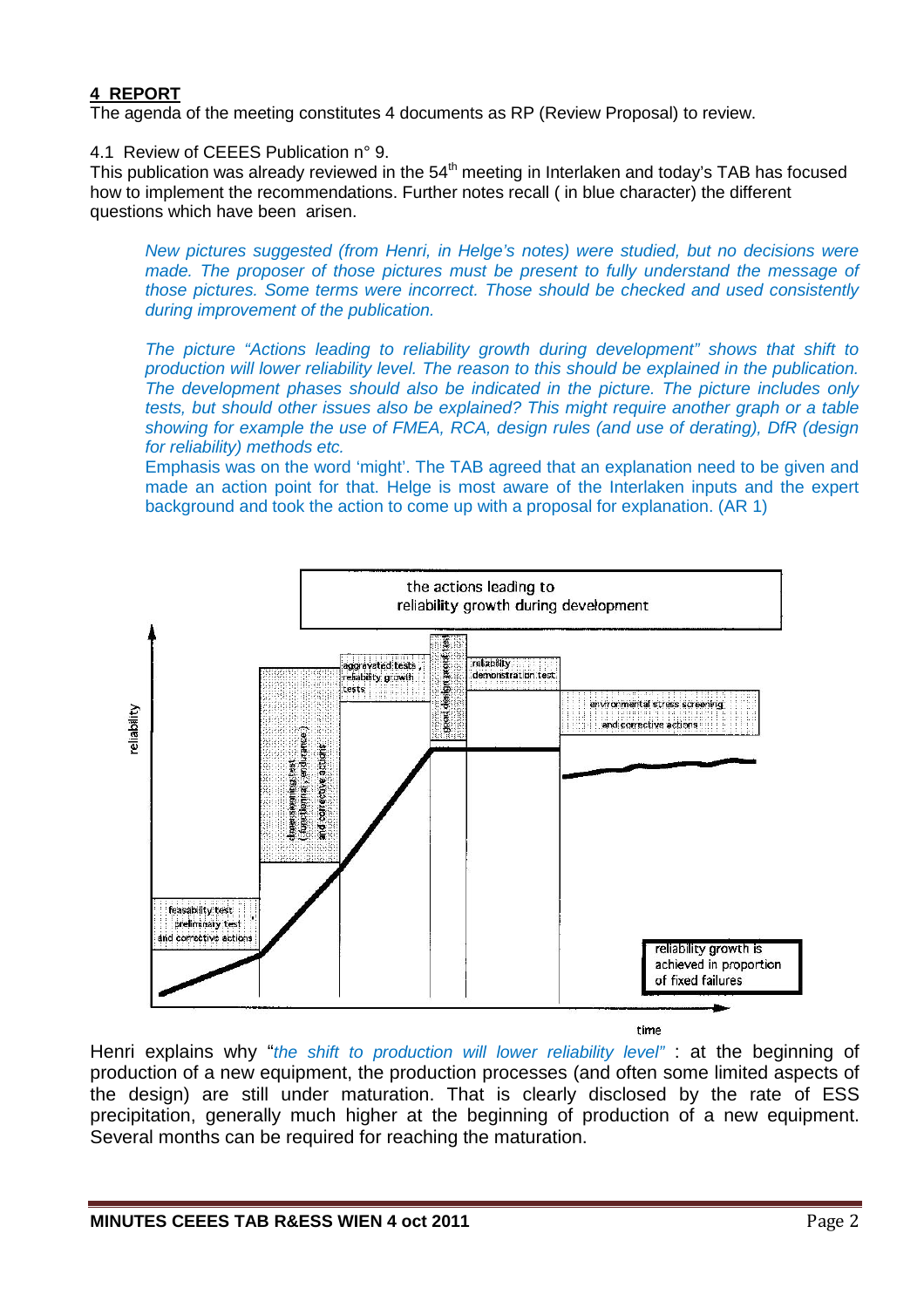## **4 REPORT**

The agenda of the meeting constitutes 4 documents as RP (Review Proposal) to review.

4.1 Review of CEEES Publication n° 9.

This publication was already reviewed in the  $54<sup>th</sup>$  meeting in Interlaken and today's TAB has focused how to implement the recommendations. Further notes recall ( in blue character) the different questions which have been arisen.

*New pictures suggested (from Henri, in Helge's notes) were studied, but no decisions were made. The proposer of those pictures must be present to fully understand the message of those pictures. Some terms were incorrect. Those should be checked and used consistently during improvement of the publication.*

*The picture "Actions leading to reliability growth during development" shows that shift to production will lower reliability level. The reason to this should be explained in the publication. The development phases should also be indicated in the picture. The picture includes only tests, but should other issues also be explained? This might require another graph or a table showing for example the use of FMEA, RCA, design rules (and use of derating), DfR (design for reliability) methods etc.*

Emphasis was on the word 'might'. The TAB agreed that an explanation need to be given and made an action point for that. Helge is most aware of the Interlaken inputs and the expert background and took the action to come up with a proposal for explanation. (AR 1)



time

Henri explains why "*the shift to production will lower reliability level"* : at the beginning of production of a new equipment, the production processes (and often some limited aspects of the design) are still under maturation. That is clearly disclosed by the rate of ESS precipitation, generally much higher at the beginning of production of a new equipment. Several months can be required for reaching the maturation.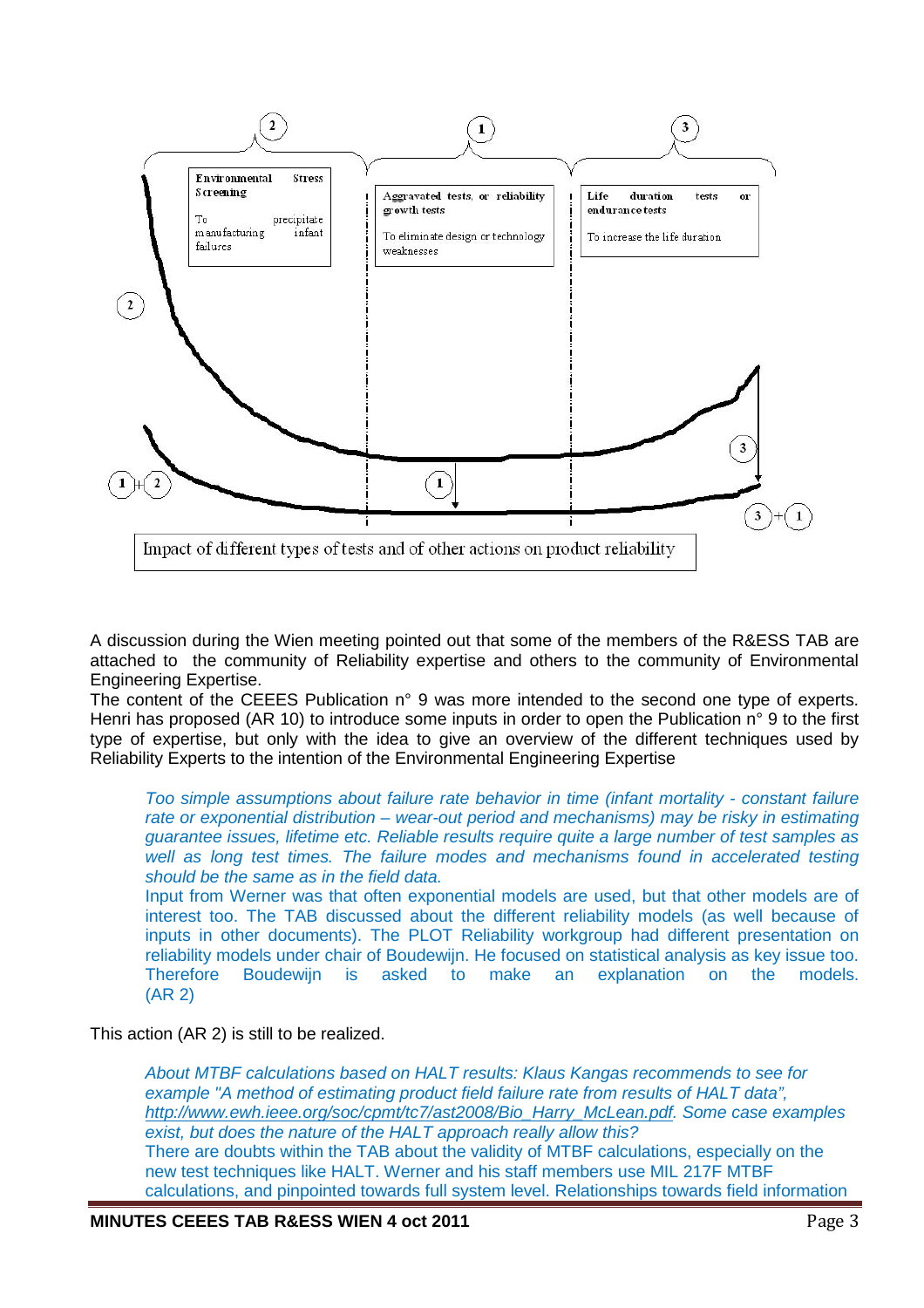

A discussion during the Wien meeting pointed out that some of the members of the R&ESS TAB are attached to the community of Reliability expertise and others to the community of Environmental Engineering Expertise.

The content of the CEEES Publication n° 9 was more intended to the second one type of experts. Henri has proposed (AR 10) to introduce some inputs in order to open the Publication n° 9 to the first type of expertise, but only with the idea to give an overview of the different techniques used by Reliability Experts to the intention of the Environmental Engineering Expertise

*Too simple assumptions about failure rate behavior in time (infant mortality - constant failure rate or exponential distribution – wear-out period and mechanisms) may be risky in estimating guarantee issues, lifetime etc. Reliable results require quite a large number of test samples as well as long test times. The failure modes and mechanisms found in accelerated testing should be the same as in the field data.*

Input from Werner was that often exponential models are used, but that other models are of interest too. The TAB discussed about the different reliability models (as well because of inputs in other documents). The PLOT Reliability workgroup had different presentation on reliability models under chair of Boudewijn. He focused on statistical analysis as key issue too. Therefore Boudewijn is asked to make an explanation on the models. (AR 2)

This action (AR 2) is still to be realized.

*About MTBF calculations based on HALT results: Klaus Kangas recommends to see for example "A method of estimating product field failure rate from results of HALT data", http://www.ewh.ieee.org/soc/cpmt/tc7/ast2008/Bio\_Harry\_McLean.pdf. Some case examples exist, but does the nature of the HALT approach really allow this?* There are doubts within the TAB about the validity of MTBF calculations, especially on the new test techniques like HALT. Werner and his staff members use MIL 217F MTBF calculations, and pinpointed towards full system level. Relationships towards field information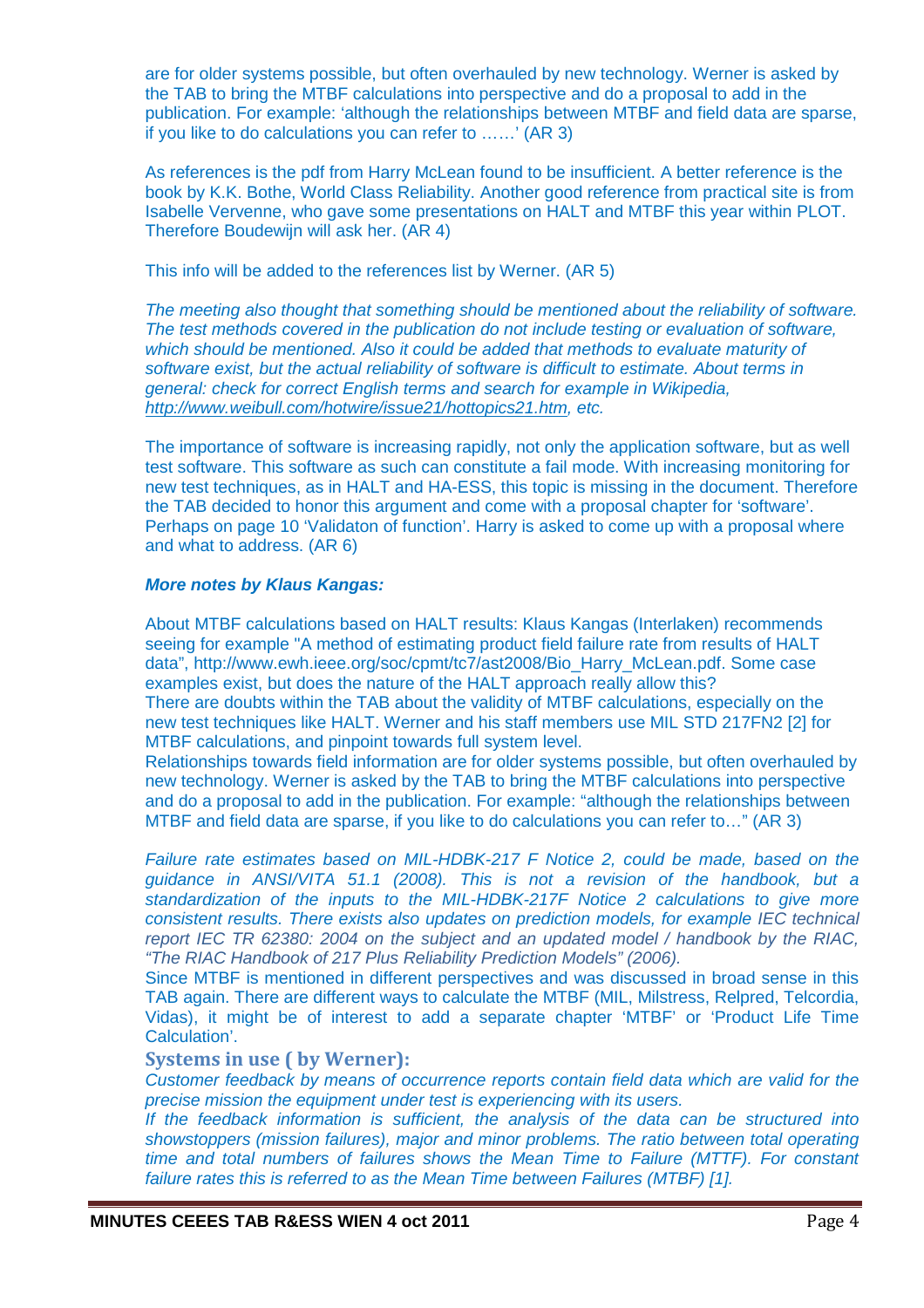are for older systems possible, but often overhauled by new technology. Werner is asked by the TAB to bring the MTBF calculations into perspective and do a proposal to add in the publication. For example: 'although the relationships between MTBF and field data are sparse, if you like to do calculations you can refer to ……' (AR 3)

As references is the pdf from Harry McLean found to be insufficient. A better reference is the book by K.K. Bothe, World Class Reliability. Another good reference from practical site is from Isabelle Vervenne, who gave some presentations on HALT and MTBF this year within PLOT. Therefore Boudewijn will ask her. (AR 4)

This info will be added to the references list by Werner. (AR 5)

*The meeting also thought that something should be mentioned about the reliability of software. The test methods covered in the publication do not include testing or evaluation of software, which should be mentioned. Also it could be added that methods to evaluate maturity of software exist, but the actual reliability of software is difficult to estimate. About terms in general: check for correct English terms and search for example in Wikipedia, http://www.weibull.com/hotwire/issue21/hottopics21.htm, etc.*

The importance of software is increasing rapidly, not only the application software, but as well test software. This software as such can constitute a fail mode. With increasing monitoring for new test techniques, as in HALT and HA-ESS, this topic is missing in the document. Therefore the TAB decided to honor this argument and come with a proposal chapter for 'software'. Perhaps on page 10 'Validaton of function'. Harry is asked to come up with a proposal where and what to address. (AR 6)

#### *More notes by Klaus Kangas:*

About MTBF calculations based on HALT results: Klaus Kangas (Interlaken) recommends seeing for example "A method of estimating product field failure rate from results of HALT data", http://www.ewh.ieee.org/soc/cpmt/tc7/ast2008/Bio\_Harry\_McLean.pdf. Some case examples exist, but does the nature of the HALT approach really allow this? There are doubts within the TAB about the validity of MTBF calculations, especially on the new test techniques like HALT. Werner and his staff members use MIL STD 217FN2 [2] for MTBF calculations, and pinpoint towards full system level.

Relationships towards field information are for older systems possible, but often overhauled by new technology. Werner is asked by the TAB to bring the MTBF calculations into perspective and do a proposal to add in the publication. For example: "although the relationships between MTBF and field data are sparse, if you like to do calculations you can refer to…" (AR 3)

*Failure rate estimates based on MIL-HDBK-217 F Notice 2, could be made, based on the guidance in ANSI/VITA 51.1 (2008). This is not a revision of the handbook, but a standardization of the inputs to the MIL-HDBK-217F Notice 2 calculations to give more consistent results. There exists also updates on prediction models, for example IEC technical report IEC TR 62380: 2004 on the subject and an updated model / handbook by the RIAC, "The RIAC Handbook of 217 Plus Reliability Prediction Models" (2006).*

Since MTBF is mentioned in different perspectives and was discussed in broad sense in this TAB again. There are different ways to calculate the MTBF (MIL, Milstress, Relpred, Telcordia, Vidas), it might be of interest to add a separate chapter 'MTBF' or 'Product Life Time Calculation'.

## **Systems in use ( by Werner):**

*Customer feedback by means of occurrence reports contain field data which are valid for the precise mission the equipment under test is experiencing with its users.*

*If the feedback information is sufficient, the analysis of the data can be structured into showstoppers (mission failures), major and minor problems. The ratio between total operating time and total numbers of failures shows the Mean Time to Failure (MTTF). For constant failure rates this is referred to as the Mean Time between Failures (MTBF) [1].*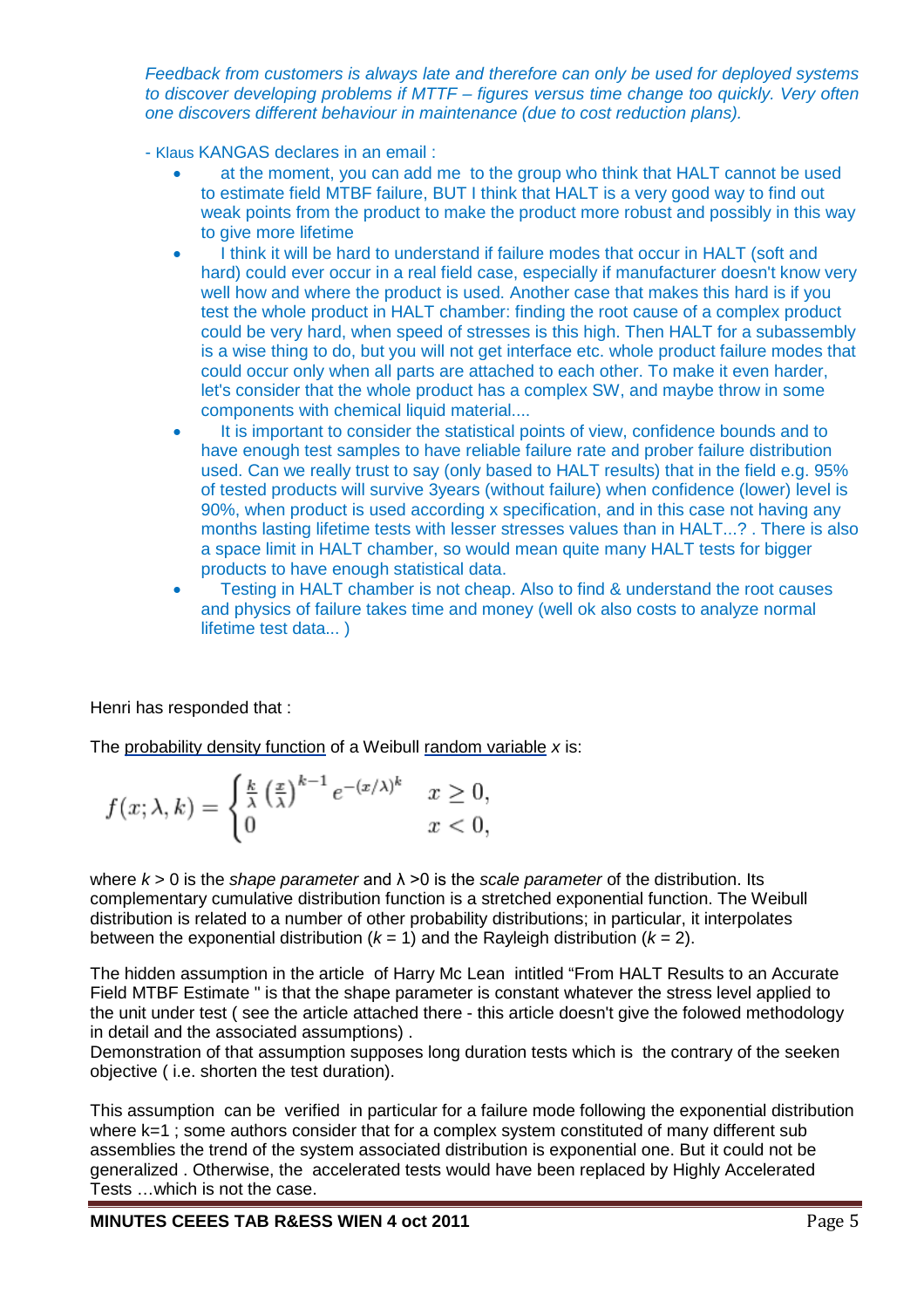*Feedback from customers is always late and therefore can only be used for deployed systems to discover developing problems if MTTF – figures versus time change too quickly. Very often one discovers different behaviour in maintenance (due to cost reduction plans).*

- Klaus KANGAS declares in an email :
	- at the moment, you can add me to the group who think that HALT cannot be used to estimate field MTBF failure, BUT I think that HALT is a very good way to find out weak points from the product to make the product more robust and possibly in this way to give more lifetime
	- I think it will be hard to understand if failure modes that occur in HALT (soft and hard) could ever occur in a real field case, especially if manufacturer doesn't know very well how and where the product is used. Another case that makes this hard is if you test the whole product in HALT chamber: finding the root cause of a complex product could be very hard, when speed of stresses is this high. Then HALT for a subassembly is a wise thing to do, but you will not get interface etc. whole product failure modes that could occur only when all parts are attached to each other. To make it even harder, let's consider that the whole product has a complex SW, and maybe throw in some components with chemical liquid material....
	- It is important to consider the statistical points of view, confidence bounds and to have enough test samples to have reliable failure rate and prober failure distribution used. Can we really trust to say (only based to HALT results) that in the field e.g. 95% of tested products will survive 3years (without failure) when confidence (lower) level is 90%, when product is used according x specification, and in this case not having any months lasting lifetime tests with lesser stresses values than in HALT...? . There is also a space limit in HALT chamber, so would mean quite many HALT tests for bigger products to have enough statistical data.
		- Testing in HALT chamber is not cheap. Also to find & understand the root causes and physics of failure takes time and money (well ok also costs to analyze normal lifetime test data... )

Henri has responded that :

The probability density function of a Weibull random variable *x* is:

$$
f(x; \lambda, k) = \begin{cases} \frac{k}{\lambda} \left(\frac{x}{\lambda}\right)^{k-1} e^{-(x/\lambda)^k} & x \ge 0, \\ 0 & x < 0, \end{cases}
$$

where *k* > 0 is the *shape parameter* and λ >0 is the *scale parameter* of the distribution. Its complementary cumulative distribution function is a stretched exponential function. The Weibull distribution is related to a number of other probability distributions; in particular, it interpolates between the exponential distribution  $(k = 1)$  and the Rayleigh distribution  $(k = 2)$ .

The hidden assumption in the article of Harry Mc Lean intitled "From HALT Results to an Accurate Field MTBF Estimate " is that the shape parameter is constant whatever the stress level applied to the unit under test ( see the article attached there - this article doesn't give the folowed methodology in detail and the associated assumptions) .

Demonstration of that assumption supposes long duration tests which is the contrary of the seeken objective ( i.e. shorten the test duration).

This assumption can be verified in particular for a failure mode following the exponential distribution where k=1 ; some authors consider that for a complex system constituted of many different sub assemblies the trend of the system associated distribution is exponential one. But it could not be generalized . Otherwise, the accelerated tests would have been replaced by Highly Accelerated Tests …which is not the case.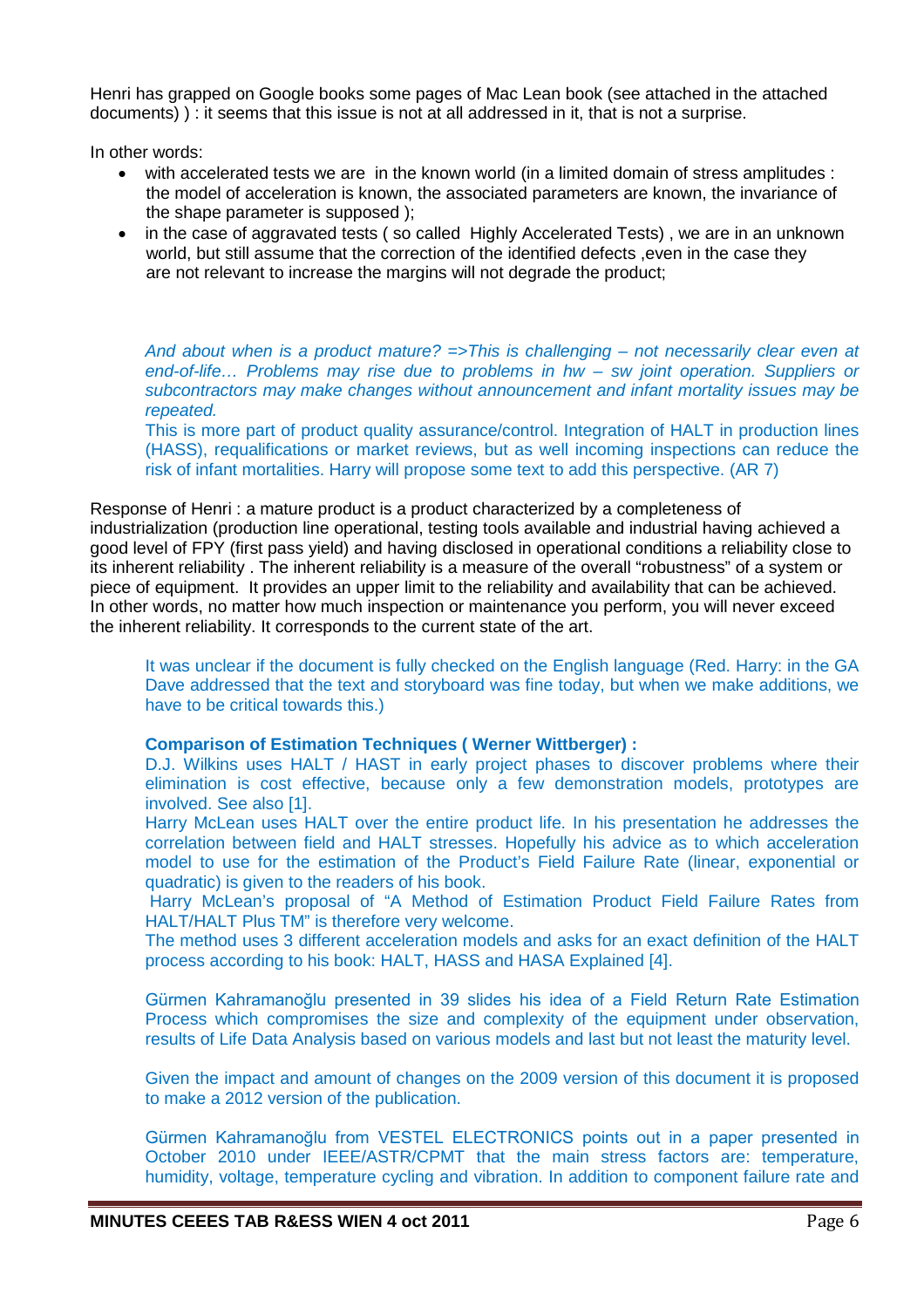Henri has grapped on Google books some pages of Mac Lean book (see attached in the attached documents) ) : it seems that this issue is not at all addressed in it, that is not a surprise.

In other words:

- with accelerated tests we are in the known world (in a limited domain of stress amplitudes : the model of acceleration is known, the associated parameters are known, the invariance of the shape parameter is supposed );
- in the case of aggravated tests (so called Highly Accelerated Tests), we are in an unknown world, but still assume that the correction of the identified defects , even in the case they are not relevant to increase the margins will not degrade the product;

*And about when is a product mature? =>This is challenging – not necessarily clear even at end-of-life… Problems may rise due to problems in hw – sw joint operation. Suppliers or subcontractors may make changes without announcement and infant mortality issues may be repeated.*

This is more part of product quality assurance/control. Integration of HALT in production lines (HASS), requalifications or market reviews, but as well incoming inspections can reduce the risk of infant mortalities. Harry will propose some text to add this perspective. (AR 7)

Response of Henri : a mature product is a product characterized by a completeness of industrialization (production line operational, testing tools available and industrial having achieved a good level of FPY (first pass yield) and having disclosed in operational conditions a reliability close to its inherent reliability . The inherent reliability is a measure of the overall "robustness" of a system or piece of equipment. It provides an upper limit to the reliability and availability that can be achieved. In other words, no matter how much inspection or maintenance you perform, you will never exceed the inherent reliability. It corresponds to the current state of the art.

It was unclear if the document is fully checked on the English language (Red. Harry: in the GA Dave addressed that the text and storyboard was fine today, but when we make additions, we have to be critical towards this.)

#### **Comparison of Estimation Techniques ( Werner Wittberger) :**

D.J. Wilkins uses HALT / HAST in early project phases to discover problems where their elimination is cost effective, because only a few demonstration models, prototypes are involved. See also [1].

Harry McLean uses HALT over the entire product life. In his presentation he addresses the correlation between field and HALT stresses. Hopefully his advice as to which acceleration model to use for the estimation of the Product's Field Failure Rate (linear, exponential or quadratic) is given to the readers of his book.

Harry McLean's proposal of "A Method of Estimation Product Field Failure Rates from HALT/HALT Plus TM" is therefore very welcome.

The method uses 3 different acceleration models and asks for an exact definition of the HALT process according to his book: HALT, HASS and HASA Explained [4].

Gürmen Kahramanoğlu presented in 39 slides his idea of a Field Return Rate Estimation Process which compromises the size and complexity of the equipment under observation, results of Life Data Analysis based on various models and last but not least the maturity level.

Given the impact and amount of changes on the 2009 version of this document it is proposed to make a 2012 version of the publication.

Gürmen Kahramanoğlu from VESTEL ELECTRONICS points out in a paper presented in October 2010 under IEEE/ASTR/CPMT that the main stress factors are: temperature, humidity, voltage, temperature cycling and vibration. In addition to component failure rate and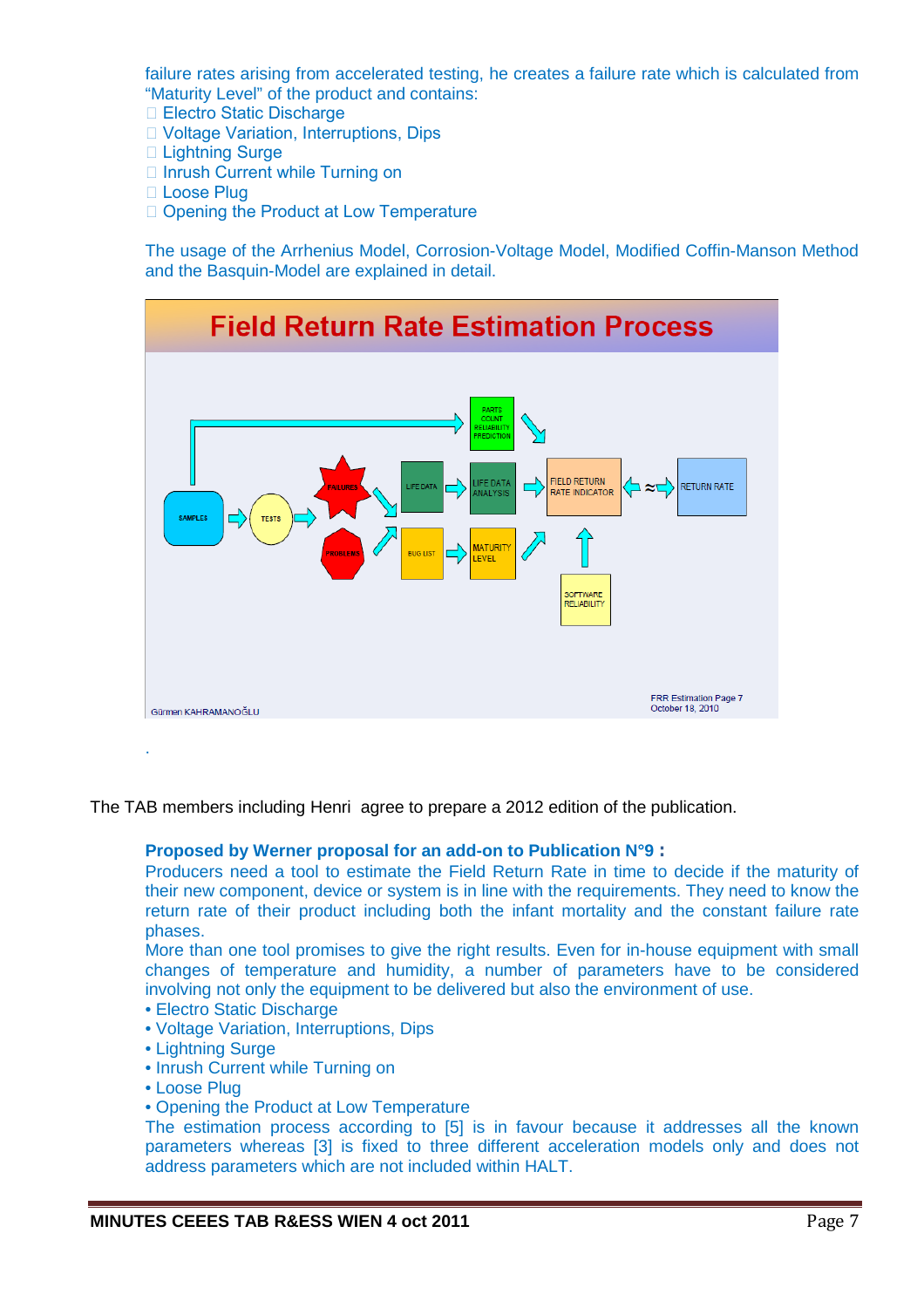failure rates arising from accelerated testing, he creates a failure rate which is calculated from "Maturity Level" of the product and contains:

- □ Electro Static Discharge
- Voltage Variation, Interruptions, Dips
- □ Lightning Surge
- □ Inrush Current while Turning on
- Loose Plug
- □ Opening the Product at Low Temperature

The usage of the Arrhenius Model, Corrosion-Voltage Model, Modified Coffin-Manson Method and the Basquin-Model are explained in detail.



The TAB members including Henri agree to prepare a 2012 edition of the publication.

#### **Proposed by Werner proposal for an add-on to Publication N°9 :**

Producers need a tool to estimate the Field Return Rate in time to decide if the maturity of their new component, device or system is in line with the requirements. They need to know the return rate of their product including both the infant mortality and the constant failure rate phases.

More than one tool promises to give the right results. Even for in-house equipment with small changes of temperature and humidity, a number of parameters have to be considered involving not only the equipment to be delivered but also the environment of use.

- Electro Static Discharge
- Voltage Variation, Interruptions, Dips
- Lightning Surge
- Inrush Current while Turning on
- Loose Plug
- Opening the Product at Low Temperature

The estimation process according to [5] is in favour because it addresses all the known parameters whereas [3] is fixed to three different acceleration models only and does not address parameters which are not included within HALT.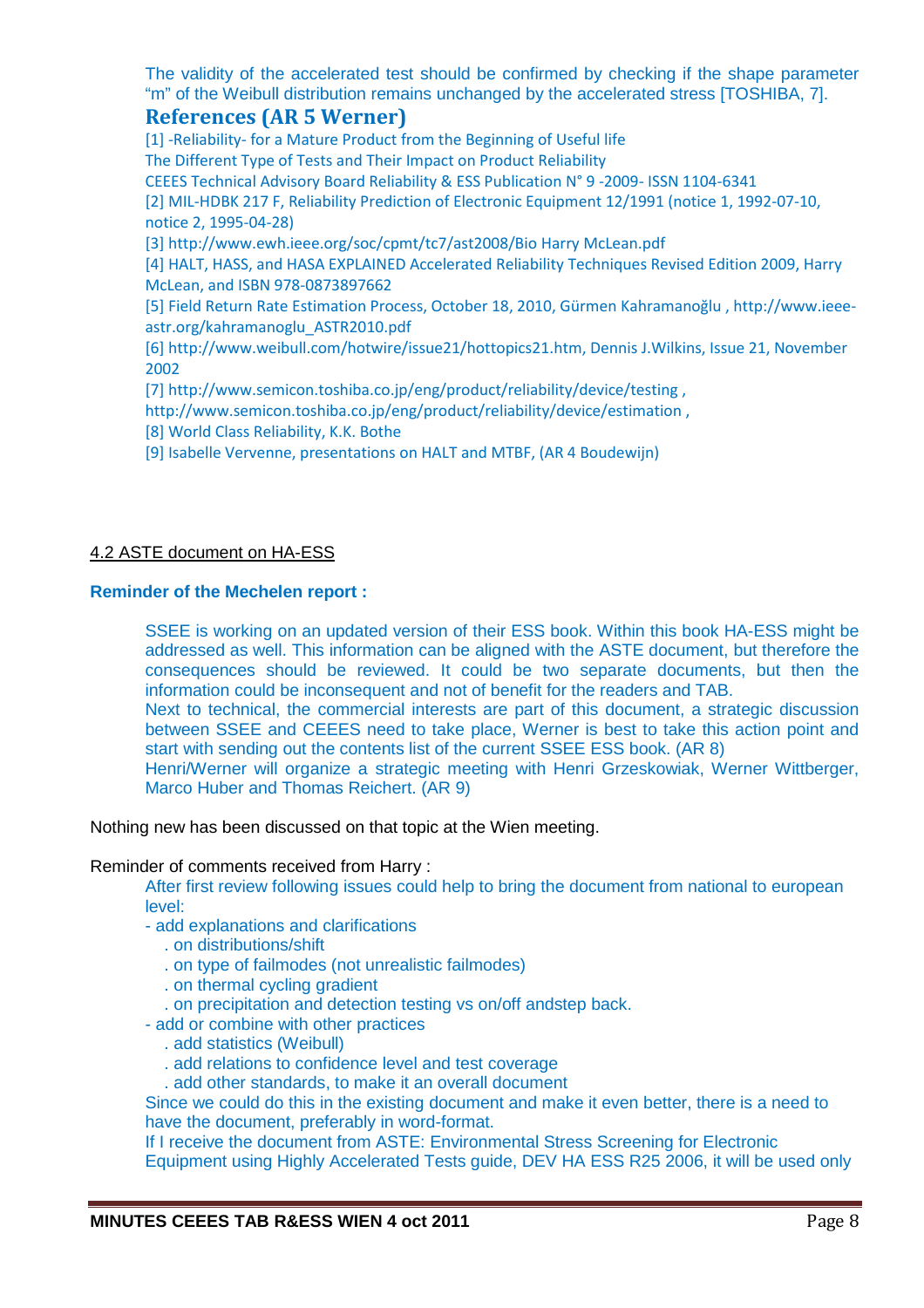The validity of the accelerated test should be confirmed by checking if the shape parameter "m" of the Weibull distribution remains unchanged by the accelerated stress [TOSHIBA, 7].

## **References (AR 5 Werner)**

[1] -Reliability- for a Mature Product from the Beginning of Useful life The Different Type of Tests and Their Impact on Product Reliability CEEES Technical Advisory Board Reliability & ESS Publication N° 9 -2009- ISSN 1104-6341 [2] MIL-HDBK 217 F, Reliability Prediction of Electronic Equipment 12/1991 (notice 1, 1992-07-10, notice 2, 1995-04-28) [3] http://www.ewh.ieee.org/soc/cpmt/tc7/ast2008/Bio Harry McLean.pdf [4] HALT, HASS, and HASA EXPLAINED Accelerated Reliability Techniques Revised Edition 2009, Harry McLean, and ISBN 978-0873897662 [5] Field Return Rate Estimation Process, October 18, 2010, Gürmen Kahramanoğlu , http://www.ieeeastr.org/kahramanoglu\_ASTR2010.pdf [6] http://www.weibull.com/hotwire/issue21/hottopics21.htm, Dennis J.Wilkins, Issue 21, November 2002 [7] http://www.semicon.toshiba.co.jp/eng/product/reliability/device/testing,

http://www.semicon.toshiba.co.jp/eng/product/reliability/device/estimation ,

[8] World Class Reliability, K.K. Bothe

[9] Isabelle Vervenne, presentations on HALT and MTBF, (AR 4 Boudewijn)

## 4.2 ASTE document on HA-ESS

#### **Reminder of the Mechelen report :**

SSEE is working on an updated version of their ESS book. Within this book HA-ESS might be addressed as well. This information can be aligned with the ASTE document, but therefore the consequences should be reviewed. It could be two separate documents, but then the information could be inconsequent and not of benefit for the readers and TAB.

Next to technical, the commercial interests are part of this document, a strategic discussion between SSEE and CEEES need to take place, Werner is best to take this action point and start with sending out the contents list of the current SSEE ESS book. (AR 8)

Henri/Werner will organize a strategic meeting with Henri Grzeskowiak, Werner Wittberger, Marco Huber and Thomas Reichert. (AR 9)

Nothing new has been discussed on that topic at the Wien meeting.

Reminder of comments received from Harry :

After first review following issues could help to bring the document from national to european level:

- add explanations and clarifications
	- . on distributions/shift
	- . on type of failmodes (not unrealistic failmodes)
	- . on thermal cycling gradient
	- . on precipitation and detection testing vs on/off andstep back.
- add or combine with other practices
	- . add statistics (Weibull)
	- . add relations to confidence level and test coverage
	- . add other standards, to make it an overall document

Since we could do this in the existing document and make it even better, there is a need to have the document, preferably in word-format.

If I receive the document from ASTE: Environmental Stress Screening for Electronic Equipment using Highly Accelerated Tests guide, DEV HA ESS R25 2006, it will be used only